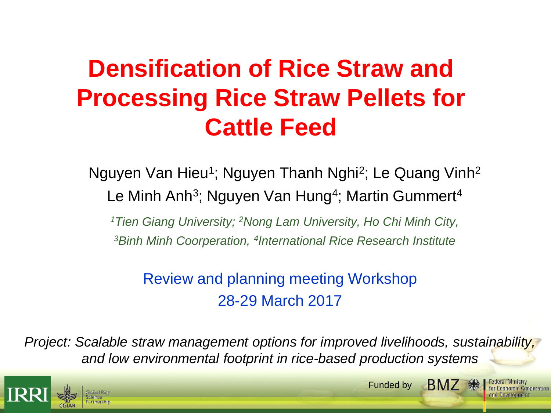## **Densification of Rice Straw and Processing Rice Straw Pellets for Cattle Feed**

Nguyen Van Hieu<sup>1</sup>; Nguyen Thanh Nghi<sup>2</sup>; Le Quang Vinh<sup>2</sup> Le Minh Anh<sup>3</sup>; Nguyen Van Hung<sup>4</sup>; Martin Gummert<sup>4</sup>

*<sup>1</sup>Tien Giang University; <sup>2</sup>Nong Lam University, Ho Chi Minh City, <sup>3</sup>Binh Minh Coorperation, <sup>4</sup> International Rice Research Institute*

Review and planning meeting Workshop 28-29 March 2017

*Project: Scalable straw management options for improved livelihoods, sustainability, and low environmental footprint in rice-based production systems*



**BM7 ·** Funded by

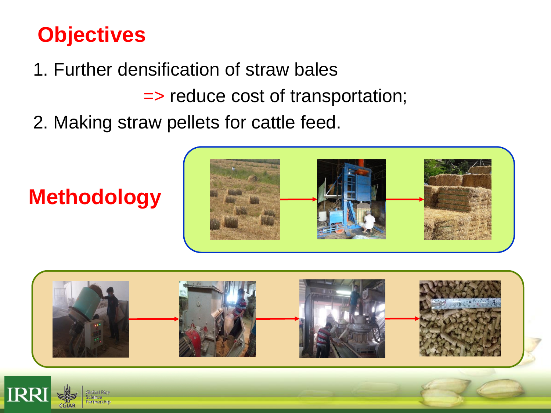### **Objectives**

**Methodology**

artnership

CGIAR

- 1. Further densification of straw bales
	- => reduce cost of transportation;
- 2. Making straw pellets for cattle feed.



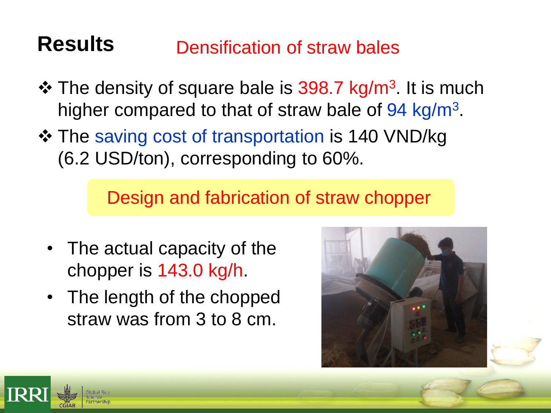#### **Results** Densification of straw bales

- ❖ The density of square bale is 398.7 kg/m<sup>3</sup>. It is much higher compared to that of straw bale of 94 kg/m<sup>3</sup>.
- The saving cost of transportation is 140 VND/kg (6.2 USD/ton), corresponding to 60%.

Design and fabrication of straw chopper

- The actual capacity of the chopper is 143.0 kg/h.
- The length of the chopped straw was from 3 to 8 cm.



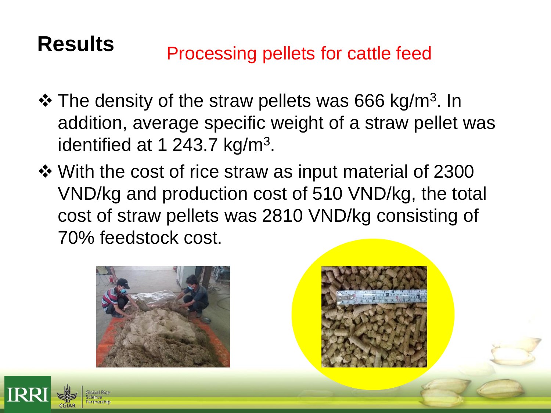## **Results** Processing pellets for cattle feed

- ❖ The density of the straw pellets was 666 kg/m<sup>3</sup>. In addition, average specific weight of a straw pellet was identified at 1 243.7 kg/m<sup>3</sup>.
- ❖ With the cost of rice straw as input material of 2300 VND/kg and production cost of 510 VND/kg, the total cost of straw pellets was 2810 VND/kg consisting of 70% feedstock cost.





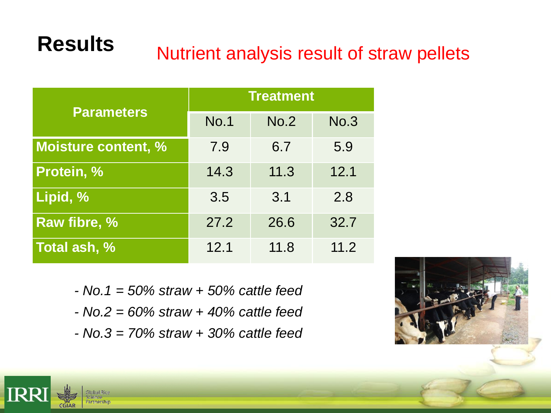# **Results** Nutrient analysis result of straw pellets

| <b>Parameters</b>          | <b>Treatment</b> |      |             |
|----------------------------|------------------|------|-------------|
|                            | <b>No.1</b>      | No.2 | <b>No.3</b> |
| <b>Moisture content, %</b> | 7.9              | 6.7  | 5.9         |
| Protein, %                 | 14.3             | 11.3 | 12.1        |
| Lipid, %                   | 3.5              | 3.1  | 2.8         |
| Raw fibre, %               | 27.2             | 26.6 | 32.7        |
| Total ash, %               | 12.1             | 11.8 | 11.2        |

- *- No.1 = 50% straw + 50% cattle feed*
- *- No.2 = 60% straw + 40% cattle feed*
- *- No.3 = 70% straw + 30% cattle feed*



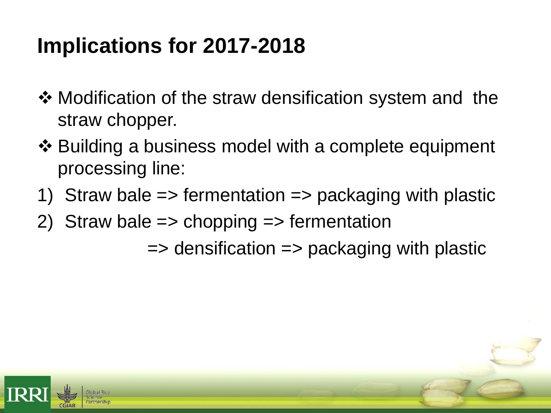### **Implications for 2017-2018**

- ❖ Modification of the straw densification system and the straw chopper.
- ❖ Building a business model with a complete equipment processing line:
- 1) Straw bale => fermentation => packaging with plastic
- 2) Straw bale => chopping => fermentation

 $\Rightarrow$  densification  $\Rightarrow$  packaging with plastic